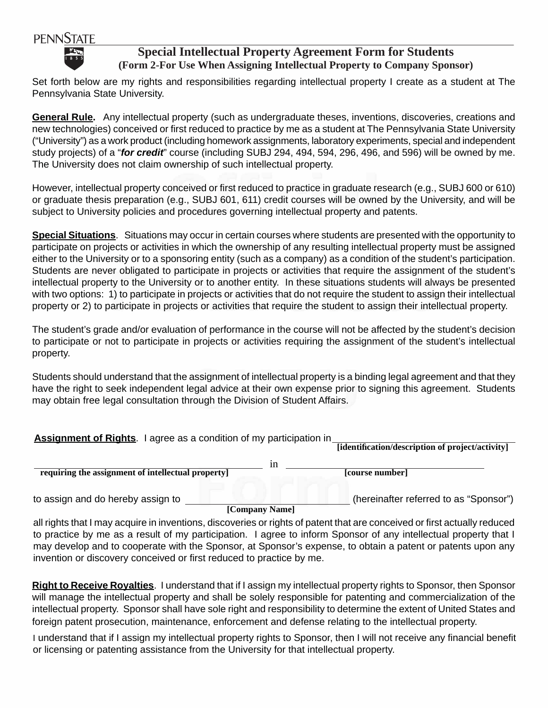## **PENNSTATE**



## **Special Intellectual Property Agreement Form for Students (Form 2-For Use When Assigning Intellectual Property to Company Sponsor)**

Set forth below are my rights and responsibilities regarding intellectual property I create as a student at The Pennsylvania State University.

 **General Rule.** Any intellectual property (such as undergraduate theses, inventions, discoveries, creations and new technologies) conceived or first reduced to practice by me as a student at The Pennsylvania State University ("University") as a work product (including homework assignments, laboratory experiments, special and independent study projects) of a "*for credit*" course (including SUBJ 294, 494, 594, 296, 496, and 596) will be owned by me. The University does not claim ownership of such intellectual property.

However, intellectual property conceived or first reduced to practice in graduate research (e.g., SUBJ 600 or 610) or graduate thesis preparation (e.g., SUBJ 601, 611) credit courses will be owned by the University, and will be subject to University policies and procedures governing intellectual property and patents.

**Special Situations**. Situations may occur in certain courses where students are presented with the opportunity to participate on projects or activities in which the ownership of any resulting intellectual property must be assigned either to the University or to a sponsoring entity (such as a company) as a condition of the student's participation. Students are never obligated to participate in projects or activities that require the assignment of the student's intellectual property to the University or to another entity. In these situations students will always be presented with two options: 1) to participate in projects or activities that do not require the student to assign their intellectual property or 2) to participate in projects or activities that require the student to assign their intellectual property.

The student's grade and/or evaluation of performance in the course will not be affected by the student's decision to participate or not to participate in projects or activities requiring the assignment of the student's intellectual property.

Students should understand that the assignment of intellectual property is a binding legal agreement and that they have the right to seek independent legal advice at their own expense prior to signing this agreement. Students may obtain free legal consultation through the Division of Student Affairs.

| <b>Assignment of Rights.</b> I agree as a condition of my participation in | [identification/description of project/activity] |
|----------------------------------------------------------------------------|--------------------------------------------------|
| 1n<br>requiring the assignment of intellectual property                    | [course number]                                  |
| to assign and do hereby assign to                                          | (hereinafter referred to as "Sponsor")           |

to assign and do hereby assign to

**[Company Name]** 

all rights that I may acquire in inventions, discoveries or rights of patent that are conceived or first actually reduced to practice by me as a result of my participation. I agree to inform Sponsor of any intellectual property that I may develop and to cooperate with the Sponsor, at Sponsor's expense, to obtain a patent or patents upon any invention or discovery conceived or first reduced to practice by me.

**Right to Receive Royalties**. I understand that if I assign my intellectual property rights to Sponsor, then Sponsor will manage the intellectual property and shall be solely responsible for patenting and commercialization of the intellectual property. Sponsor shall have sole right and responsibility to determine the extent of United States and foreign patent prosecution, maintenance, enforcement and defense relating to the intellectual property.

I understand that if I assign my intellectual property rights to Sponsor, then I will not receive any financial benefit or licensing or patenting assistance from the University for that intellectual property.